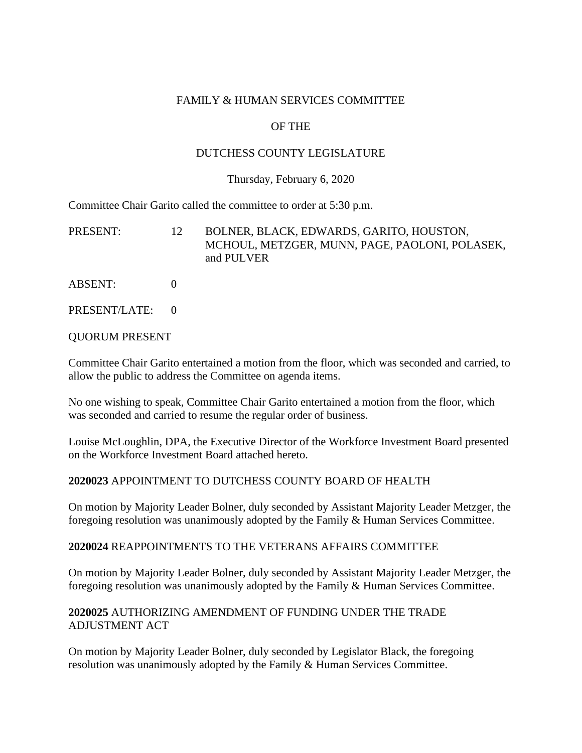#### FAMILY & HUMAN SERVICES COMMITTEE

#### OF THE

#### DUTCHESS COUNTY LEGISLATURE

#### Thursday, February 6, 2020

Committee Chair Garito called the committee to order at 5:30 p.m.

| PRESENT: | BOLNER, BLACK, EDWARDS, GARITO, HOUSTON,       |
|----------|------------------------------------------------|
|          | MCHOUL, METZGER, MUNN, PAGE, PAOLONI, POLASEK, |
|          | and PULVER                                     |

- ABSENT: 0
- PRESENT/LATE: 0

#### QUORUM PRESENT

Committee Chair Garito entertained a motion from the floor, which was seconded and carried, to allow the public to address the Committee on agenda items.

No one wishing to speak, Committee Chair Garito entertained a motion from the floor, which was seconded and carried to resume the regular order of business.

Louise McLoughlin, DPA, the Executive Director of the Workforce Investment Board presented on the Workforce Investment Board attached hereto.

#### **2020023** APPOINTMENT TO DUTCHESS COUNTY BOARD OF HEALTH

On motion by Majority Leader Bolner, duly seconded by Assistant Majority Leader Metzger, the foregoing resolution was unanimously adopted by the Family & Human Services Committee.

#### **2020024** REAPPOINTMENTS TO THE VETERANS AFFAIRS COMMITTEE

On motion by Majority Leader Bolner, duly seconded by Assistant Majority Leader Metzger, the foregoing resolution was unanimously adopted by the Family & Human Services Committee.

#### **2020025** AUTHORIZING AMENDMENT OF FUNDING UNDER THE TRADE ADJUSTMENT ACT

On motion by Majority Leader Bolner, duly seconded by Legislator Black, the foregoing resolution was unanimously adopted by the Family & Human Services Committee.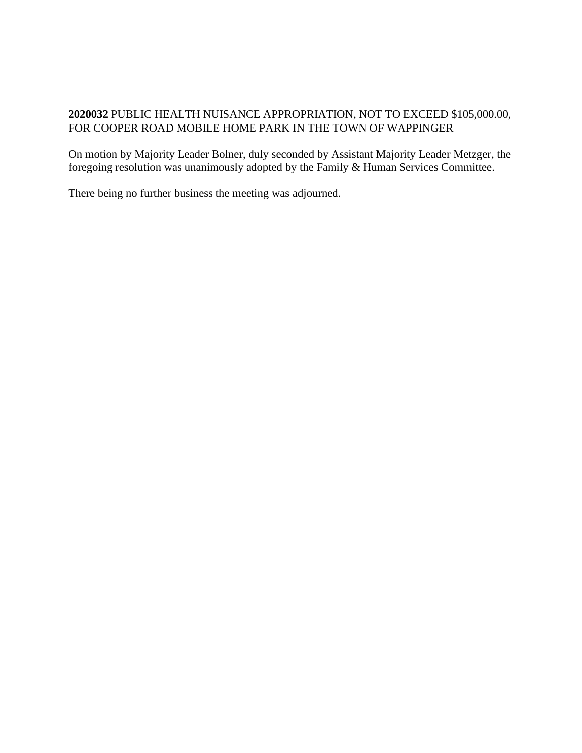### **2020032** PUBLIC HEALTH NUISANCE APPROPRIATION, NOT TO EXCEED \$105,000.00, FOR COOPER ROAD MOBILE HOME PARK IN THE TOWN OF WAPPINGER

On motion by Majority Leader Bolner, duly seconded by Assistant Majority Leader Metzger, the foregoing resolution was unanimously adopted by the Family & Human Services Committee.

There being no further business the meeting was adjourned.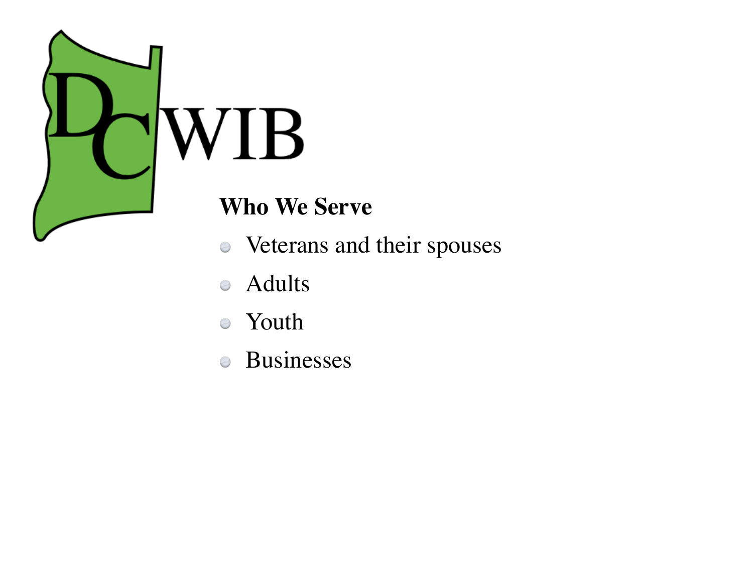

### **Who We Serve**

- Veterans and their spouses
- Adults  $\bigcirc$
- Youth  $\bigcirc$
- Businesses $\bigcirc$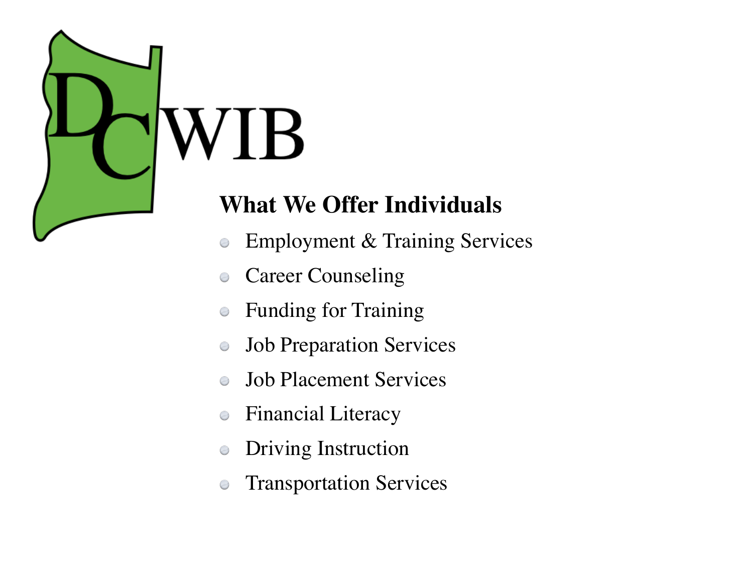## **What We Offer Individuals**

- Employment & Training Services  $\bigcirc$
- Career Counseling  $\bigcirc$
- Funding for Training
- Job Preparation Services  $\bigcirc$
- Job Placement Services
- Financial Literacy  $\bigcirc$
- Driving Instruction  $\bigcirc$
- Transportation Services $\bigcirc$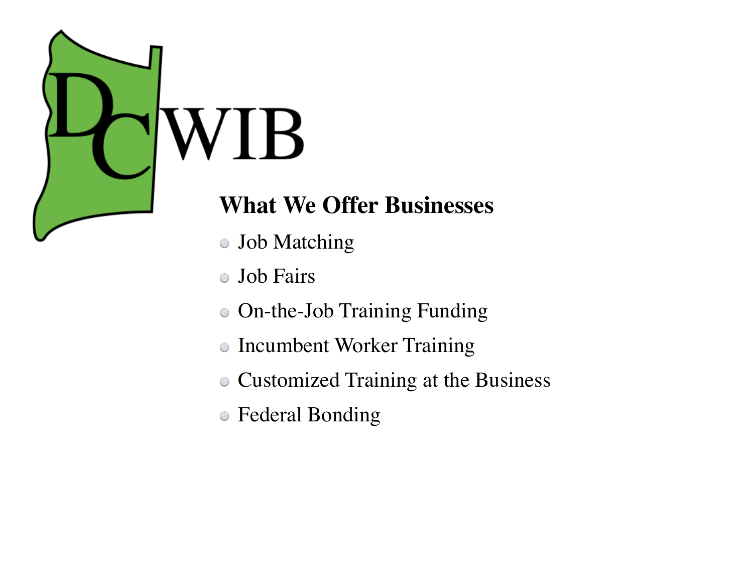

## **What We Offer Businesses**

- Job Matching
- Job Fairs  $\bigcirc$
- On-the-Job Training Funding
- Incumbent Worker Training  $\bigcirc$
- Customized Training at the Business
- Federal Bonding